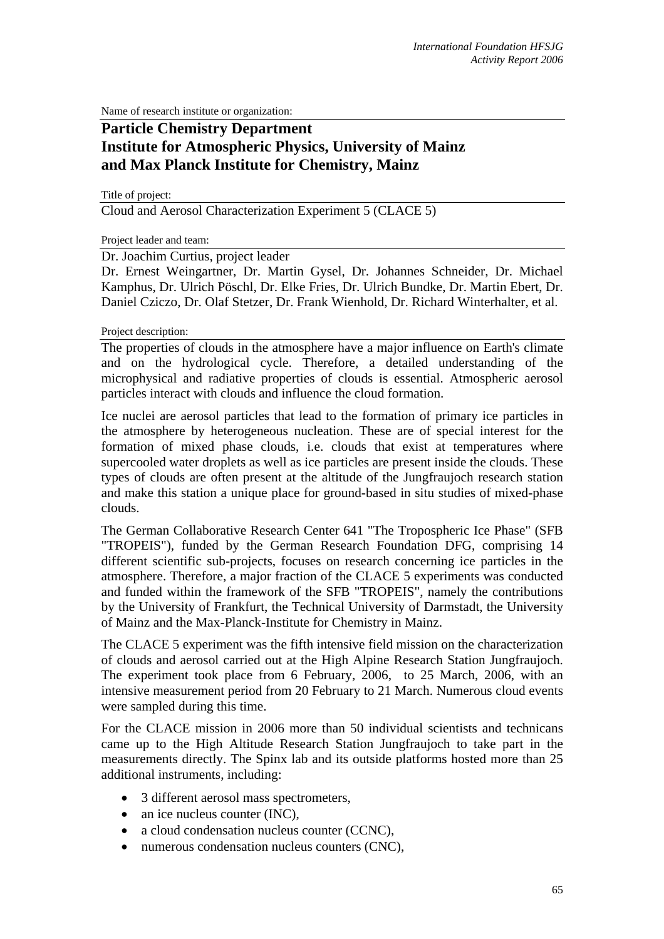Name of research institute or organization:

## **Particle Chemistry Department Institute for Atmospheric Physics, University of Mainz and Max Planck Institute for Chemistry, Mainz**

Title of project: Cloud and Aerosol Characterization Experiment 5 (CLACE 5)

Project leader and team:

Dr. Joachim Curtius, project leader

Dr. Ernest Weingartner, Dr. Martin Gysel, Dr. Johannes Schneider, Dr. Michael Kamphus, Dr. Ulrich Pöschl, Dr. Elke Fries, Dr. Ulrich Bundke, Dr. Martin Ebert, Dr. Daniel Cziczo, Dr. Olaf Stetzer, Dr. Frank Wienhold, Dr. Richard Winterhalter, et al.

Project description:

The properties of clouds in the atmosphere have a major influence on Earth's climate and on the hydrological cycle. Therefore, a detailed understanding of the microphysical and radiative properties of clouds is essential. Atmospheric aerosol particles interact with clouds and influence the cloud formation.

Ice nuclei are aerosol particles that lead to the formation of primary ice particles in the atmosphere by heterogeneous nucleation. These are of special interest for the formation of mixed phase clouds, i.e. clouds that exist at temperatures where supercooled water droplets as well as ice particles are present inside the clouds. These types of clouds are often present at the altitude of the Jungfraujoch research station and make this station a unique place for ground-based in situ studies of mixed-phase clouds.

The German Collaborative Research Center 641 "The Tropospheric Ice Phase" (SFB "TROPEIS"), funded by the German Research Foundation DFG, comprising 14 different scientific sub-projects, focuses on research concerning ice particles in the atmosphere. Therefore, a major fraction of the CLACE 5 experiments was conducted and funded within the framework of the SFB "TROPEIS", namely the contributions by the University of Frankfurt, the Technical University of Darmstadt, the University of Mainz and the Max-Planck-Institute for Chemistry in Mainz.

The CLACE 5 experiment was the fifth intensive field mission on the characterization of clouds and aerosol carried out at the High Alpine Research Station Jungfraujoch. The experiment took place from 6 February, 2006, to 25 March, 2006, with an intensive measurement period from 20 February to 21 March. Numerous cloud events were sampled during this time.

For the CLACE mission in 2006 more than 50 individual scientists and technicans came up to the High Altitude Research Station Jungfraujoch to take part in the measurements directly. The Spinx lab and its outside platforms hosted more than 25 additional instruments, including:

- 3 different aerosol mass spectrometers,
- an ice nucleus counter (INC),
- a cloud condensation nucleus counter (CCNC),
- numerous condensation nucleus counters (CNC),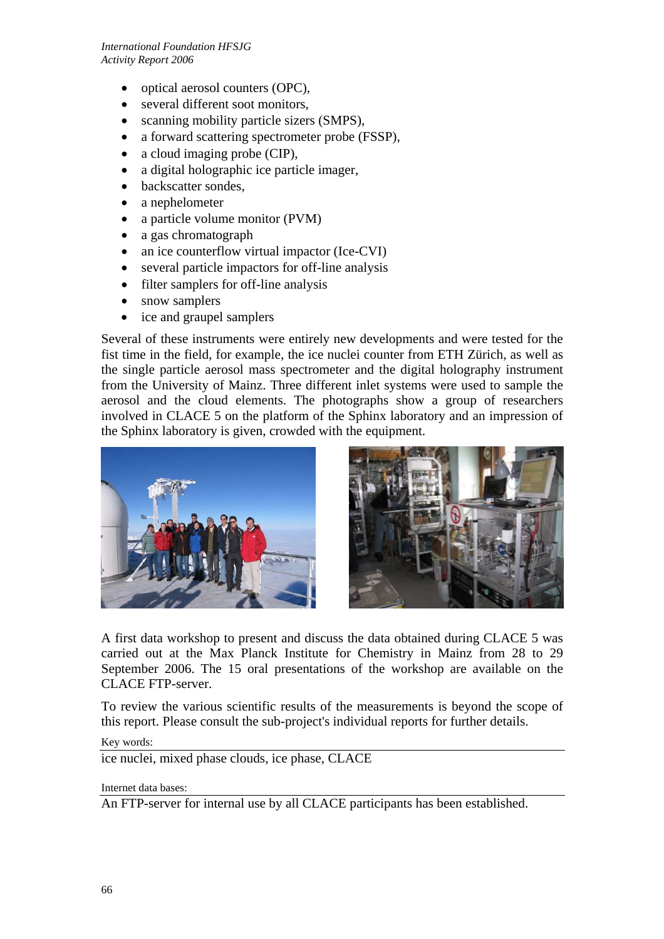- optical aerosol counters (OPC),
- several different soot monitors,
- scanning mobility particle sizers (SMPS),
- a forward scattering spectrometer probe (FSSP),
- a cloud imaging probe (CIP),
- a digital holographic ice particle imager,
- backscatter sondes,
- a nephelometer
- a particle volume monitor (PVM)
- a gas chromatograph
- an ice counterflow virtual impactor (Ice-CVI)
- several particle impactors for off-line analysis
- filter samplers for off-line analysis
- snow samplers
- ice and graupel samplers

Several of these instruments were entirely new developments and were tested for the fist time in the field, for example, the ice nuclei counter from ETH Zürich, as well as the single particle aerosol mass spectrometer and the digital holography instrument from the University of Mainz. Three different inlet systems were used to sample the aerosol and the cloud elements. The photographs show a group of researchers involved in CLACE 5 on the platform of the Sphinx laboratory and an impression of the Sphinx laboratory is given, crowded with the equipment.





A first data workshop to present and discuss the data obtained during CLACE 5 was carried out at the Max Planck Institute for Chemistry in Mainz from 28 to 29 September 2006. The 15 oral presentations of the workshop are available on the CLACE FTP-server.

To review the various scientific results of the measurements is beyond the scope of this report. Please consult the sub-project's individual reports for further details.

## Key words:

ice nuclei, mixed phase clouds, ice phase, CLACE

Internet data bases:

An FTP-server for internal use by all CLACE participants has been established.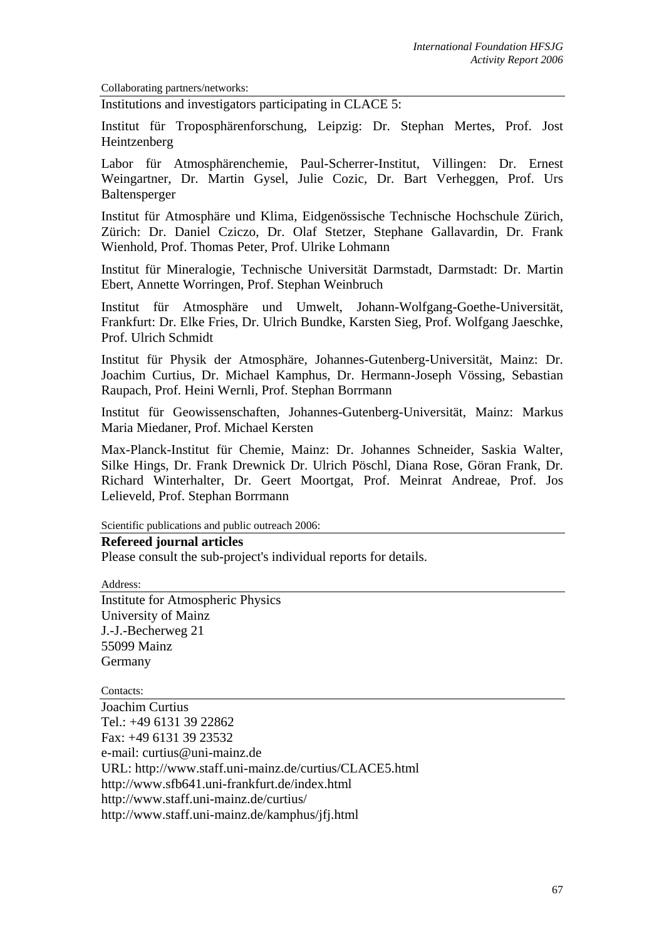Collaborating partners/networks:

Institutions and investigators participating in CLACE 5:

Institut für Troposphärenforschung, Leipzig: Dr. Stephan Mertes, Prof. Jost Heintzenberg

Labor für Atmosphärenchemie, Paul-Scherrer-Institut, Villingen: Dr. Ernest Weingartner, Dr. Martin Gysel, Julie Cozic, Dr. Bart Verheggen, Prof. Urs Baltensperger

Institut für Atmosphäre und Klima, Eidgenössische Technische Hochschule Zürich, Zürich: Dr. Daniel Cziczo, Dr. Olaf Stetzer, Stephane Gallavardin, Dr. Frank Wienhold, Prof. Thomas Peter, Prof. Ulrike Lohmann

Institut für Mineralogie, Technische Universität Darmstadt, Darmstadt: Dr. Martin Ebert, Annette Worringen, Prof. Stephan Weinbruch

Institut für Atmosphäre und Umwelt, Johann-Wolfgang-Goethe-Universität, Frankfurt: Dr. Elke Fries, Dr. Ulrich Bundke, Karsten Sieg, Prof. Wolfgang Jaeschke, Prof. Ulrich Schmidt

Institut für Physik der Atmosphäre, Johannes-Gutenberg-Universität, Mainz: Dr. Joachim Curtius, Dr. Michael Kamphus, Dr. Hermann-Joseph Vössing, Sebastian Raupach, Prof. Heini Wernli, Prof. Stephan Borrmann

Institut für Geowissenschaften, Johannes-Gutenberg-Universität, Mainz: Markus Maria Miedaner, Prof. Michael Kersten

Max-Planck-Institut für Chemie, Mainz: Dr. Johannes Schneider, Saskia Walter, Silke Hings, Dr. Frank Drewnick Dr. Ulrich Pöschl, Diana Rose, Göran Frank, Dr. Richard Winterhalter, Dr. Geert Moortgat, Prof. Meinrat Andreae, Prof. Jos Lelieveld, Prof. Stephan Borrmann

Scientific publications and public outreach 2006:

## **Refereed journal articles**

Please consult the sub-project's individual reports for details.

Address: Institute for Atmospheric Physics University of Mainz J.-J.-Becherweg 21 55099 Mainz Germany

Contacts:

Joachim Curtius Tel.: +49 6131 39 22862 Fax: +49 6131 39 23532 e-mail: curtius@uni-mainz.de URL: http://www.staff.uni-mainz.de/curtius/CLACE5.html http://www.sfb641.uni-frankfurt.de/index.html http://www.staff.uni-mainz.de/curtius/ http://www.staff.uni-mainz.de/kamphus/jfj.html